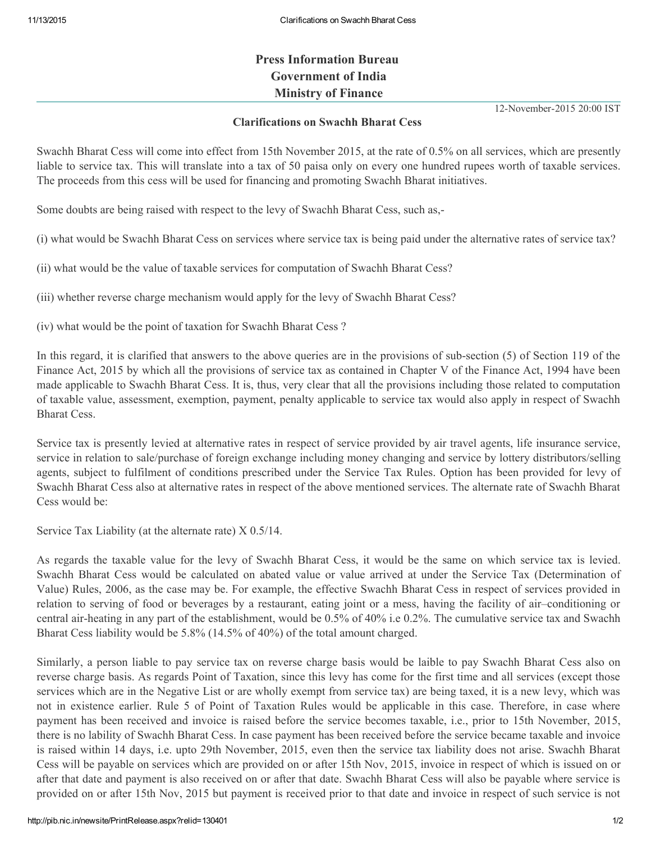## Press Information Bureau Government of India Ministry of Finance

12-November-2015 20:00 IST

## Clarifications on Swachh Bharat Cess

Swachh Bharat Cess will come into effect from 15th November 2015, at the rate of 0.5% on all services, which are presently liable to service tax. This will translate into a tax of 50 paisa only on every one hundred rupees worth of taxable services. The proceeds from this cess will be used for financing and promoting Swachh Bharat initiatives.

Some doubts are being raised with respect to the levy of Swachh Bharat Cess, such as,

(i) what would be Swachh Bharat Cess on services where service tax is being paid under the alternative rates of service tax?

(ii) what would be the value of taxable services for computation of Swachh Bharat Cess?

(iii) whether reverse charge mechanism would apply for the levy of Swachh Bharat Cess?

(iv) what would be the point of taxation for Swachh Bharat Cess ?

In this regard, it is clarified that answers to the above queries are in the provisions of sub-section (5) of Section 119 of the Finance Act, 2015 by which all the provisions of service tax as contained in Chapter V of the Finance Act, 1994 have been made applicable to Swachh Bharat Cess. It is, thus, very clear that all the provisions including those related to computation of taxable value, assessment, exemption, payment, penalty applicable to service tax would also apply in respect of Swachh Bharat Cess.

Service tax is presently levied at alternative rates in respect of service provided by air travel agents, life insurance service, service in relation to sale/purchase of foreign exchange including money changing and service by lottery distributors/selling agents, subject to fulfilment of conditions prescribed under the Service Tax Rules. Option has been provided for levy of Swachh Bharat Cess also at alternative rates in respect of the above mentioned services. The alternate rate of Swachh Bharat Cess would be:

Service Tax Liability (at the alternate rate) X 0.5/14.

As regards the taxable value for the levy of Swachh Bharat Cess, it would be the same on which service tax is levied. Swachh Bharat Cess would be calculated on abated value or value arrived at under the Service Tax (Determination of Value) Rules, 2006, as the case may be. For example, the effective Swachh Bharat Cess in respect of services provided in relation to serving of food or beverages by a restaurant, eating joint or a mess, having the facility of air–conditioning or central air-heating in any part of the establishment, would be  $0.5\%$  of  $40\%$  i.e  $0.2\%$ . The cumulative service tax and Swachh Bharat Cess liability would be 5.8% (14.5% of 40%) of the total amount charged.

Similarly, a person liable to pay service tax on reverse charge basis would be laible to pay Swachh Bharat Cess also on reverse charge basis. As regards Point of Taxation, since this levy has come for the first time and all services (except those services which are in the Negative List or are wholly exempt from service tax) are being taxed, it is a new levy, which was not in existence earlier. Rule 5 of Point of Taxation Rules would be applicable in this case. Therefore, in case where payment has been received and invoice is raised before the service becomes taxable, i.e., prior to 15th November, 2015, there is no lability of Swachh Bharat Cess. In case payment has been received before the service became taxable and invoice is raised within 14 days, i.e. upto 29th November, 2015, even then the service tax liability does not arise. Swachh Bharat Cess will be payable on services which are provided on or after 15th Nov, 2015, invoice in respect of which is issued on or after that date and payment is also received on or after that date. Swachh Bharat Cess will also be payable where service is provided on or after 15th Nov, 2015 but payment is received prior to that date and invoice in respect of such service is not